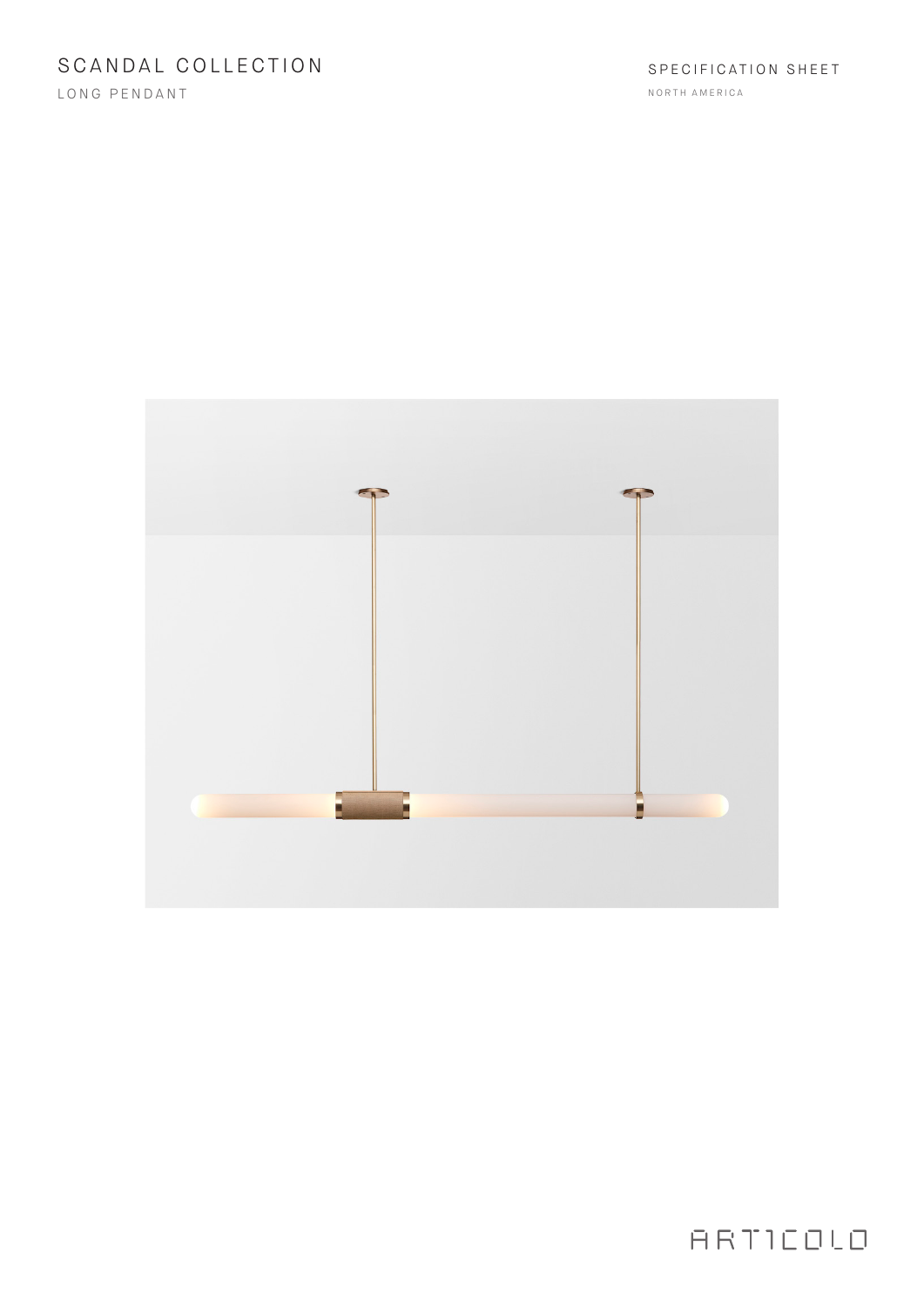LONG PENDANT



# ARTICOLO